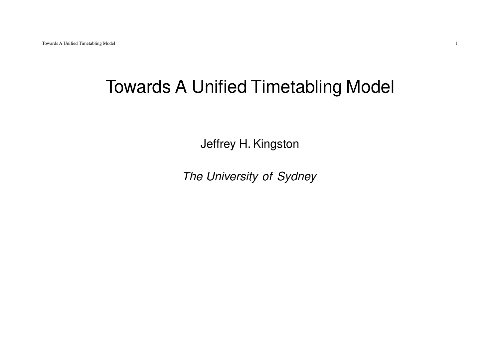# Towards A Unified Timetabling Model

Jeffrey H. Kingston

The University of Sydney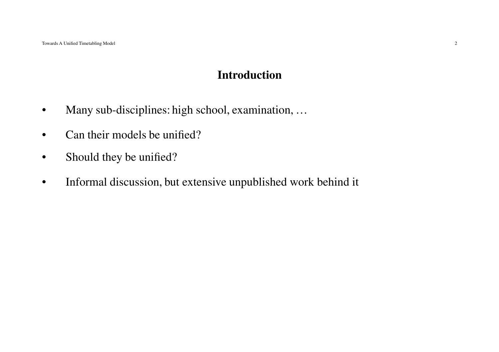#### **Introduction**

- $\bullet$ Many sub-disciplines: high school, examination, …
- $\bullet$ Can their models be unified?
- •Should they be unified?
- •Informal discussion, but extensive unpublished work behind it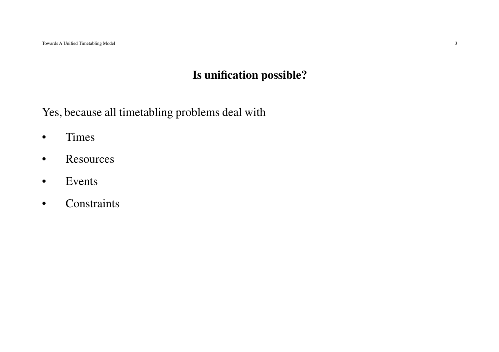## **Is unification possible?**

Yes, because all timetabling problems deal with

- •Times
- $\bullet$ **Resources**
- •Events
- •**Constraints**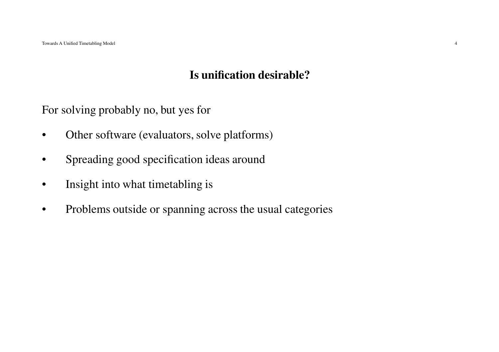## **Is unification desirable?**

For solving probably no, but yes for

- $\bullet$ Other software (evaluators, solve platforms)
- •Spreading good specification ideas around
- $\bullet$ Insight into what timetabling is
- •Problems outside or spanning across the usual categories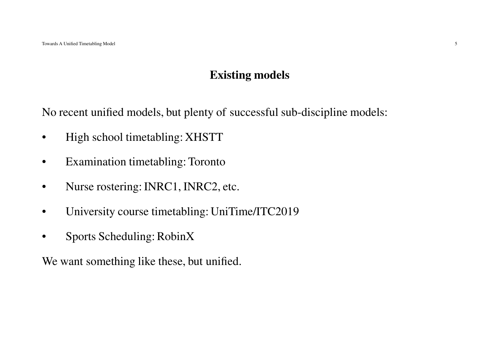## **Existing models**

No recent unified models, but plenty of successful sub-discipline models:

- $\bullet$ High school timetabling: XHSTT
- •Examination timetabling: Toronto
- $\bullet$ Nurse rostering: INRC1, INRC2, etc.
- $\bullet$ University course timetabling: UniTime/ITC2019
- •Sports Scheduling: RobinX

We want something like these, but unified.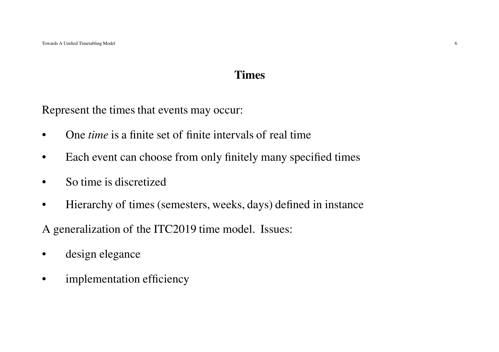#### **Times**

Represent the times that events may occur:

- •One *time* is <sup>a</sup> finite set of finite intervals of real time
- •Each event can choose from only finitely many specified times
- •So time is discretized
- •Hierarchy of times (semesters, weeks, days) defined in instance

A generalization of the ITC2019 time model. Issues:

- •design elegance
- •implementation efficiency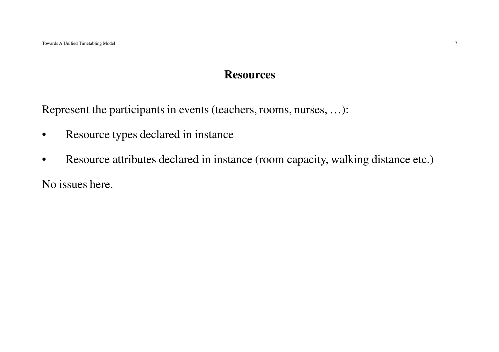#### **Resources**

Represent the participants in events (teachers, rooms, nurses, …):

- •Resource types declared in instance
- •Resource attributes declared in instance (room capacity, walking distance etc.)

No issues here.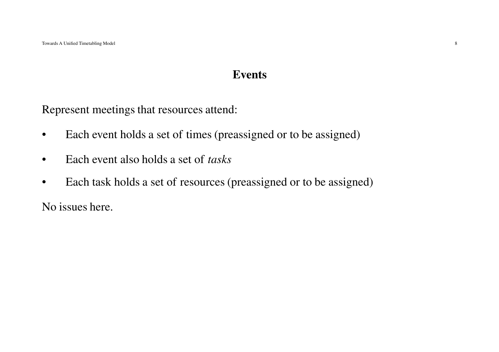#### **Events**

Represent meetings that resources attend:

- •Each event holds <sup>a</sup> set of times (preassigned or to be assigned)
- •Each event also holds <sup>a</sup> set of *tasks*
- •Each task holds <sup>a</sup> set of resources (preassigned or to be assigned)

No issues here.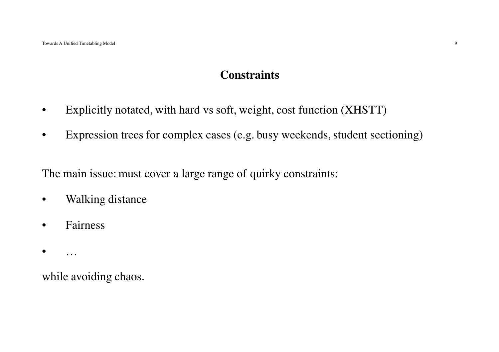## **Constraints**

- $\bullet$ Explicitly notated, with hard vs soft, weight, cost function (XHSTT)
- •Expression trees for complex cases (e.g. busy weekends, student sectioning)

The main issue: must cover <sup>a</sup> large range of quirky constraints:

- $\bullet$ Walking distance
- •Fairness
- •…

while avoiding chaos.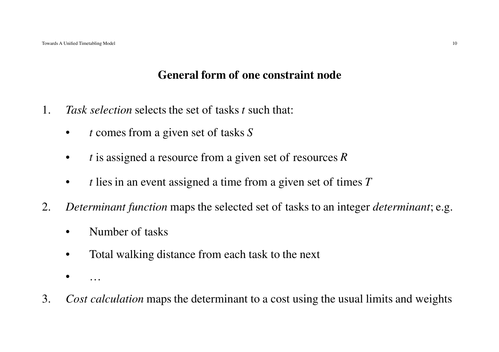### **General form of one constraint node**

- 1. *Task selection* selects the set of tasks *<sup>t</sup>* such that:
	- •*<sup>t</sup>* comes from <sup>a</sup> <sup>g</sup>iven set of tasks *<sup>S</sup>*
	- •*<sup>t</sup>* is assigned <sup>a</sup> resource from <sup>a</sup> <sup>g</sup>iven set of resources *<sup>R</sup>*
	- $\bullet$ *<sup>t</sup>* lies in an event assigned <sup>a</sup> time from <sup>a</sup> <sup>g</sup>iven set of times *<sup>T</sup>*
- 2. *Determinant function* maps the selected set of tasks to an integer *determinant*; e.g.
	- •Number of tasks
	- $\bullet$ Total walking distance from each task to the next
	- •…
- 3.*Cost calculation* maps the determinant to <sup>a</sup> cost using the usual limits and weights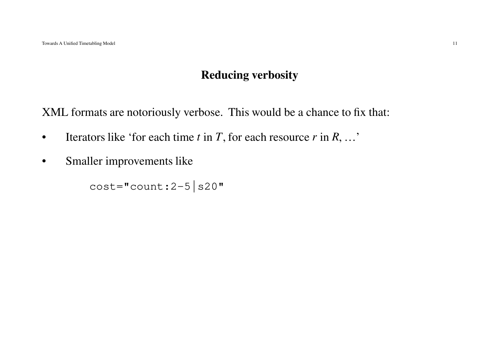## **Reducing verbosity**

XML formats are notoriously verbose. This would be <sup>a</sup> chance to fix that:

- •Iterators like 'for each time  $t$  in  $T$ , for each resource  $r$  in  $R$ , ...'
- $\bullet$ Smaller improvements like

 $cost="count:2-5|s20"$